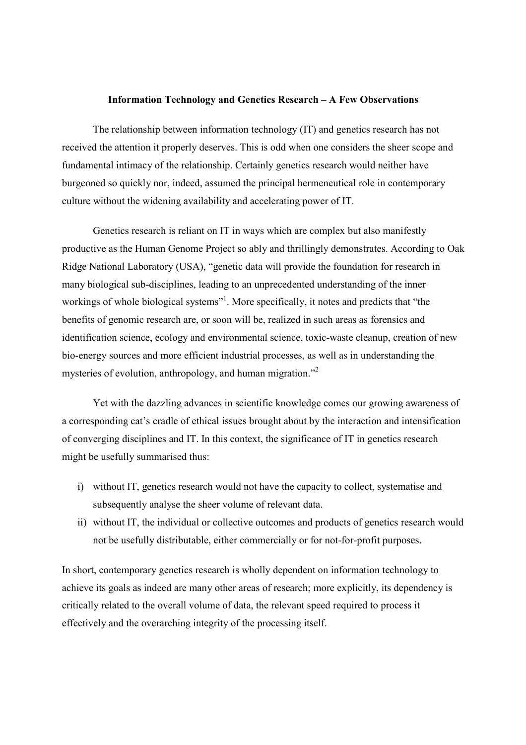## Information Technology and Genetics Research – A Few Observations

 The relationship between information technology (IT) and genetics research has not received the attention it properly deserves. This is odd when one considers the sheer scope and fundamental intimacy of the relationship. Certainly genetics research would neither have burgeoned so quickly nor, indeed, assumed the principal hermeneutical role in contemporary culture without the widening availability and accelerating power of IT.

 Genetics research is reliant on IT in ways which are complex but also manifestly productive as the Human Genome Project so ably and thrillingly demonstrates. According to Oak Ridge National Laboratory (USA), "genetic data will provide the foundation for research in many biological sub-disciplines, leading to an unprecedented understanding of the inner workings of whole biological systems"<sup>1</sup>. More specifically, it notes and predicts that "the benefits of genomic research are, or soon will be, realized in such areas as forensics and identification science, ecology and environmental science, toxic-waste cleanup, creation of new bio-energy sources and more efficient industrial processes, as well as in understanding the mysteries of evolution, anthropology, and human migration."<sup>2</sup>

 Yet with the dazzling advances in scientific knowledge comes our growing awareness of a corresponding cat's cradle of ethical issues brought about by the interaction and intensification of converging disciplines and IT. In this context, the significance of IT in genetics research might be usefully summarised thus:

- i) without IT, genetics research would not have the capacity to collect, systematise and subsequently analyse the sheer volume of relevant data.
- ii) without IT, the individual or collective outcomes and products of genetics research would not be usefully distributable, either commercially or for not-for-profit purposes.

In short, contemporary genetics research is wholly dependent on information technology to achieve its goals as indeed are many other areas of research; more explicitly, its dependency is critically related to the overall volume of data, the relevant speed required to process it effectively and the overarching integrity of the processing itself.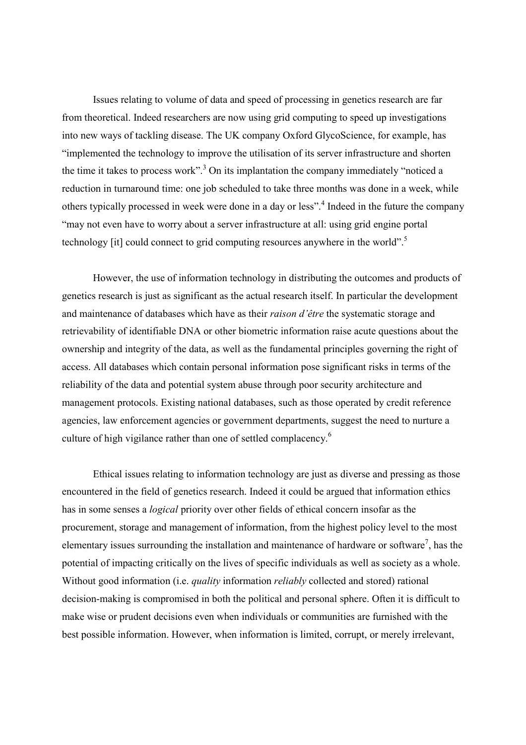Issues relating to volume of data and speed of processing in genetics research are far from theoretical. Indeed researchers are now using grid computing to speed up investigations into new ways of tackling disease. The UK company Oxford GlycoScience, for example, has "implemented the technology to improve the utilisation of its server infrastructure and shorten the time it takes to process work".<sup>3</sup> On its implantation the company immediately "noticed a reduction in turnaround time: one job scheduled to take three months was done in a week, while others typically processed in week were done in a day or less".<sup>4</sup> Indeed in the future the company "may not even have to worry about a server infrastructure at all: using grid engine portal technology [it] could connect to grid computing resources anywhere in the world".<sup>5</sup>

 However, the use of information technology in distributing the outcomes and products of genetics research is just as significant as the actual research itself. In particular the development and maintenance of databases which have as their raison d'être the systematic storage and retrievability of identifiable DNA or other biometric information raise acute questions about the ownership and integrity of the data, as well as the fundamental principles governing the right of access. All databases which contain personal information pose significant risks in terms of the reliability of the data and potential system abuse through poor security architecture and management protocols. Existing national databases, such as those operated by credit reference agencies, law enforcement agencies or government departments, suggest the need to nurture a culture of high vigilance rather than one of settled complacency. $6$ 

 Ethical issues relating to information technology are just as diverse and pressing as those encountered in the field of genetics research. Indeed it could be argued that information ethics has in some senses a logical priority over other fields of ethical concern insofar as the procurement, storage and management of information, from the highest policy level to the most elementary issues surrounding the installation and maintenance of hardware or software<sup>7</sup>, has the potential of impacting critically on the lives of specific individuals as well as society as a whole. Without good information (i.e. *quality* information *reliably* collected and stored) rational decision-making is compromised in both the political and personal sphere. Often it is difficult to make wise or prudent decisions even when individuals or communities are furnished with the best possible information. However, when information is limited, corrupt, or merely irrelevant,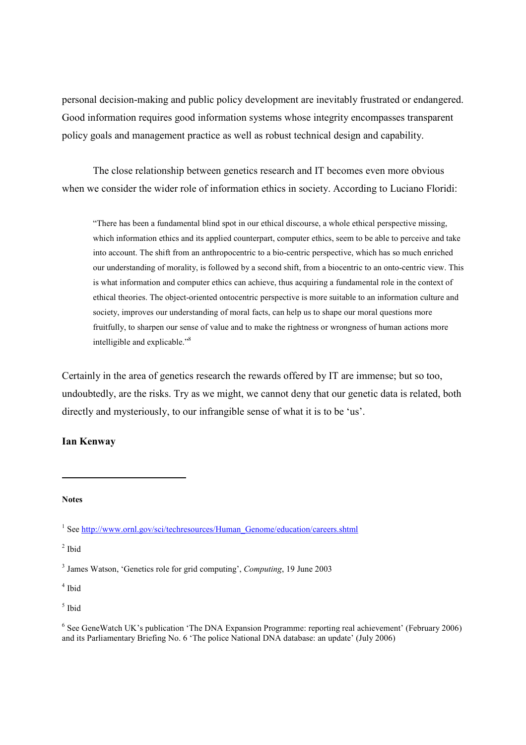personal decision-making and public policy development are inevitably frustrated or endangered. Good information requires good information systems whose integrity encompasses transparent policy goals and management practice as well as robust technical design and capability.

 The close relationship between genetics research and IT becomes even more obvious when we consider the wider role of information ethics in society. According to Luciano Floridi:

"There has been a fundamental blind spot in our ethical discourse, a whole ethical perspective missing, which information ethics and its applied counterpart, computer ethics, seem to be able to perceive and take into account. The shift from an anthropocentric to a bio-centric perspective, which has so much enriched our understanding of morality, is followed by a second shift, from a biocentric to an onto-centric view. This is what information and computer ethics can achieve, thus acquiring a fundamental role in the context of ethical theories. The object-oriented ontocentric perspective is more suitable to an information culture and society, improves our understanding of moral facts, can help us to shape our moral questions more fruitfully, to sharpen our sense of value and to make the rightness or wrongness of human actions more intelligible and explicable."<sup>8</sup>

Certainly in the area of genetics research the rewards offered by IT are immense; but so too, undoubtedly, are the risks. Try as we might, we cannot deny that our genetic data is related, both directly and mysteriously, to our infrangible sense of what it is to be 'us'.

## Ian Kenway

Notes

 $\overline{a}$ 

 $<sup>2</sup>$  Ibid</sup>

4 Ibid

5 Ibid

<sup>&</sup>lt;sup>1</sup> See http://www.ornl.gov/sci/techresources/Human\_Genome/education/careers.shtml

<sup>&</sup>lt;sup>3</sup> James Watson, 'Genetics role for grid computing', Computing, 19 June 2003

<sup>&</sup>lt;sup>6</sup> See GeneWatch UK's publication 'The DNA Expansion Programme: reporting real achievement' (February 2006) and its Parliamentary Briefing No. 6 'The police National DNA database: an update' (July 2006)